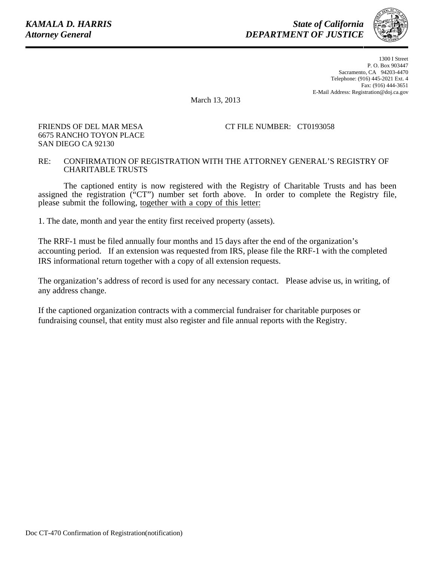FRIENDS OF DEL MAR MESA 6675 RANCHO TOYON PLACE

SAN DIEGO CA 92130

*State of California DEPARTMENT OF JUSTICE*



1300 I Street P. O. Box 903447 Sacramento, CA 94203-4470 Telephone: (916) 445-2021 Ext. 4 Fax: (916) 444-3651 E-Mail Address: Registration@doj.ca.gov

March 13, 2013

## CT FILE NUMBER: CT0193058

## RE: CONFIRMATION OF REGISTRATION WITH THE ATTORNEY GENERAL'S REGISTRY OF CHARITABLE TRUSTS

The captioned entity is now registered with the Registry of Charitable Trusts and has been assigned the registration ("CT") number set forth above. In order to complete the Registry file, please submit the following, together with a copy of this letter:

1. The date, month and year the entity first received property (assets).

The RRF-1 must be filed annually four months and 15 days after the end of the organization's accounting period. If an extension was requested from IRS, please file the RRF-1 with the completed IRS informational return together with a copy of all extension requests.

The organization's address of record is used for any necessary contact. Please advise us, in writing, of any address change.

If the captioned organization contracts with a commercial fundraiser for charitable purposes or fundraising counsel, that entity must also register and file annual reports with the Registry.